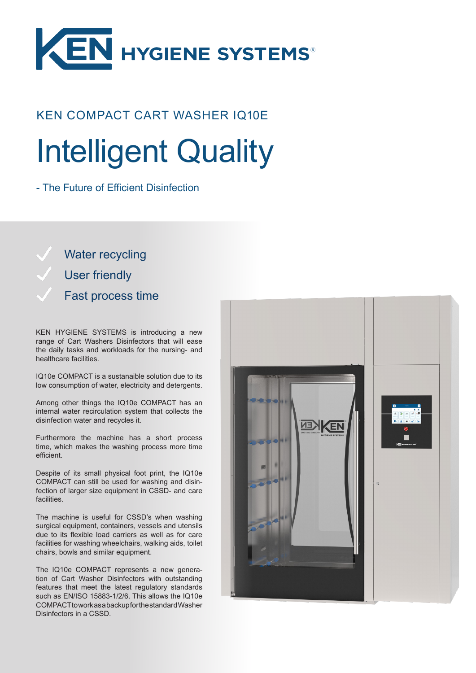

## KEN COMPACT CART WASHER IQ10E Intelligent Quality

- The Future of Efficient Disinfection

Water recycling User friendly Fast process time

KEN HYGIENE SYSTEMS is introducing a new range of Cart Washers Disinfectors that will ease the daily tasks and workloads for the nursing- and healthcare facilities.

IQ10e COMPACT is a sustanaible solution due to its low consumption of water, electricity and detergents.

Among other things the IQ10e COMPACT has an internal water recirculation system that collects the disinfection water and recycles it.

Furthermore the machine has a short process time, which makes the washing process more time efficient.

Despite of its small physical foot print, the IQ10e COMPACT can still be used for washing and disinfection of larger size equipment in CSSD- and care facilities.

The machine is useful for CSSD's when washing surgical equipment, containers, vessels and utensils due to its flexible load carriers as well as for care facilities for washing wheelchairs, walking aids, toilet chairs, bowls and similar equipment.

The IQ10e COMPACT represents a new generation of Cart Washer Disinfectors with outstanding features that meet the latest regulatory standards such as EN/ISO 15883-1/2/6. This allows the IQ10e COMPACT to work as a backup for the standard Washer Disinfectors in a CSSD.